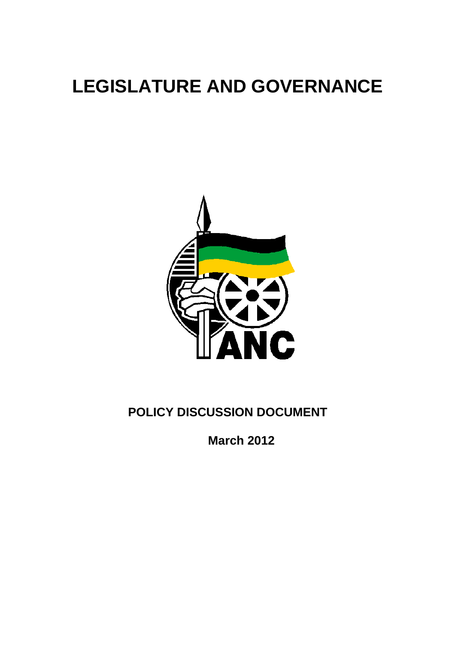# **LEGISLATURE AND GOVERNANCE**



# **POLICY DISCUSSION DOCUMENT**

**March 2012**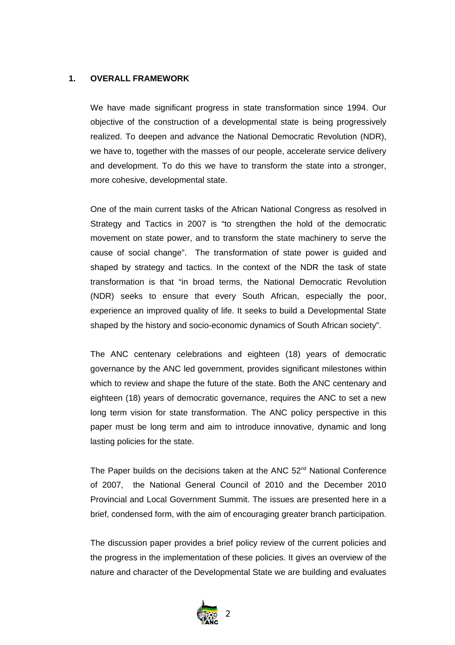# **1. OVERALL FRAMEWORK**

We have made significant progress in state transformation since 1994. Our objective of the construction of a developmental state is being progressively realized. To deepen and advance the National Democratic Revolution (NDR), we have to, together with the masses of our people, accelerate service delivery and development. To do this we have to transform the state into a stronger, more cohesive, developmental state.

One of the main current tasks of the African National Congress as resolved in Strategy and Tactics in 2007 is "to strengthen the hold of the democratic movement on state power, and to transform the state machinery to serve the cause of social change". The transformation of state power is guided and shaped by strategy and tactics. In the context of the NDR the task of state transformation is that "in broad terms, the National Democratic Revolution (NDR) seeks to ensure that every South African, especially the poor, experience an improved quality of life. It seeks to build a Developmental State shaped by the history and socio-economic dynamics of South African society".

The ANC centenary celebrations and eighteen (18) years of democratic governance by the ANC led government, provides significant milestones within which to review and shape the future of the state. Both the ANC centenary and eighteen (18) years of democratic governance, requires the ANC to set a new long term vision for state transformation. The ANC policy perspective in this paper must be long term and aim to introduce innovative, dynamic and long lasting policies for the state.

The Paper builds on the decisions taken at the ANC 52<sup>nd</sup> National Conference of 2007, the National General Council of 2010 and the December 2010 Provincial and Local Government Summit. The issues are presented here in a brief, condensed form, with the aim of encouraging greater branch participation.

The discussion paper provides a brief policy review of the current policies and the progress in the implementation of these policies. It gives an overview of the nature and character of the Developmental State we are building and evaluates

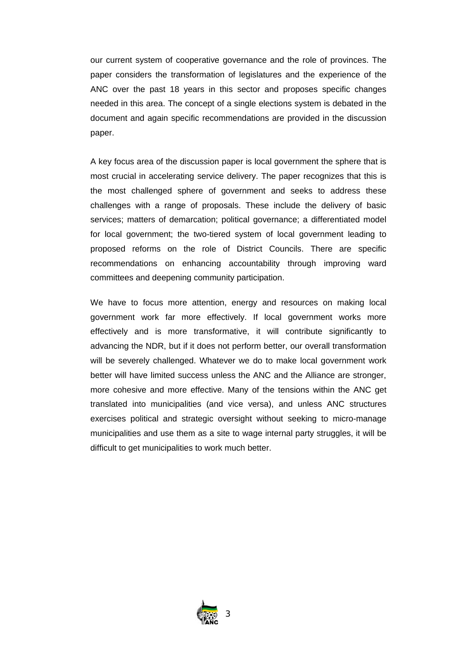our current system of cooperative governance and the role of provinces. The paper considers the transformation of legislatures and the experience of the ANC over the past 18 years in this sector and proposes specific changes needed in this area. The concept of a single elections system is debated in the document and again specific recommendations are provided in the discussion paper.

A key focus area of the discussion paper is local government the sphere that is most crucial in accelerating service delivery. The paper recognizes that this is the most challenged sphere of government and seeks to address these challenges with a range of proposals. These include the delivery of basic services; matters of demarcation; political governance; a differentiated model for local government; the two-tiered system of local government leading to proposed reforms on the role of District Councils. There are specific recommendations on enhancing accountability through improving ward committees and deepening community participation.

We have to focus more attention, energy and resources on making local government work far more effectively. If local government works more effectively and is more transformative, it will contribute significantly to advancing the NDR, but if it does not perform better, our overall transformation will be severely challenged. Whatever we do to make local government work better will have limited success unless the ANC and the Alliance are stronger, more cohesive and more effective. Many of the tensions within the ANC get translated into municipalities (and vice versa), and unless ANC structures exercises political and strategic oversight without seeking to micro-manage municipalities and use them as a site to wage internal party struggles, it will be difficult to get municipalities to work much better.

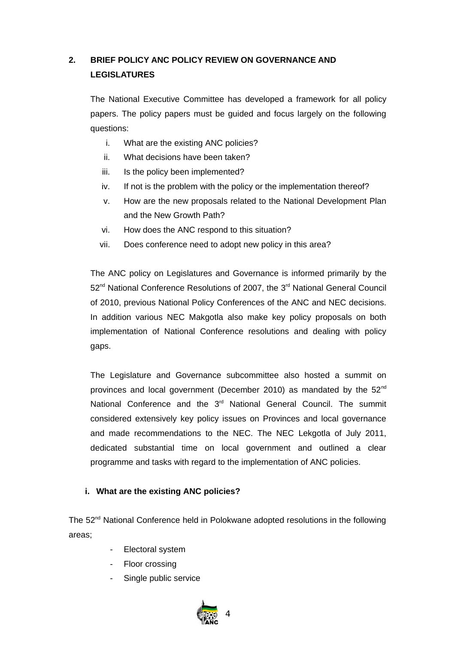# **2. BRIEF POLICY ANC POLICY REVIEW ON GOVERNANCE AND LEGISLATURES**

The National Executive Committee has developed a framework for all policy papers. The policy papers must be guided and focus largely on the following questions:

- i. What are the existing ANC policies?
- ii. What decisions have been taken?
- iii. Is the policy been implemented?
- iv. If not is the problem with the policy or the implementation thereof?
- v. How are the new proposals related to the National Development Plan and the New Growth Path?
- vi. How does the ANC respond to this situation?
- vii. Does conference need to adopt new policy in this area?

The ANC policy on Legislatures and Governance is informed primarily by the 52<sup>nd</sup> National Conference Resolutions of 2007, the 3<sup>rd</sup> National General Council of 2010, previous National Policy Conferences of the ANC and NEC decisions. In addition various NEC Makgotla also make key policy proposals on both implementation of National Conference resolutions and dealing with policy gaps.

The Legislature and Governance subcommittee also hosted a summit on provinces and local government (December 2010) as mandated by the 52<sup>nd</sup> National Conference and the 3<sup>rd</sup> National General Council. The summit considered extensively key policy issues on Provinces and local governance and made recommendations to the NEC. The NEC Lekgotla of July 2011, dedicated substantial time on local government and outlined a clear programme and tasks with regard to the implementation of ANC policies.

# **i. What are the existing ANC policies?**

The  $52<sup>nd</sup>$  National Conference held in Polokwane adopted resolutions in the following areas;

- Electoral system
- Floor crossing
- Single public service

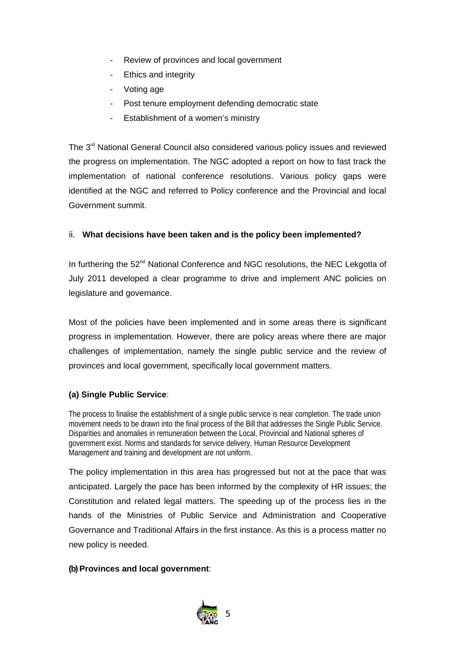- Review of provinces and local government
- Ethics and integrity
- Voting age
- Post tenure employment defending democratic state
- Establishment of a women's ministry

The 3<sup>rd</sup> National General Council also considered various policy issues and reviewed the progress on implementation. The NGC adopted a report on how to fast track the implementation of national conference resolutions. Various policy gaps were identified at the NGC and referred to Policy conference and the Provincial and local Government summit.

# ii. **What decisions have been taken and is the policy been implemented?**

In furthering the 52<sup>nd</sup> National Conference and NGC resolutions, the NEC Lekgotla of July 2011 developed a clear programme to drive and implement ANC policies on legislature and governance.

Most of the policies have been implemented and in some areas there is significant progress in implementation. However, there are policy areas where there are major challenges of implementation, namely the single public service and the review of provinces and local government, specifically local government matters.

# **(a) Single Public Service**:

The process to finalise the establishment of a single public service is near completion. The trade union movement needs to be drawn into the final process of the Bill that addresses the Single Public Service. Disparities and anomalies in remuneration between the Local, Provincial and National spheres of government exist. Norms and standards for service delivery, Human Resource Development Management and training and development are not uniform.

The policy implementation in this area has progressed but not at the pace that was anticipated. Largely the pace has been informed by the complexity of HR issues; the Constitution and related legal matters. The speeding up of the process lies in the hands of the Ministries of Public Service and Administration and Cooperative Governance and Traditional Affairs in the first instance. As this is a process matter no new policy is needed.

# **(b) Provinces and local government**:

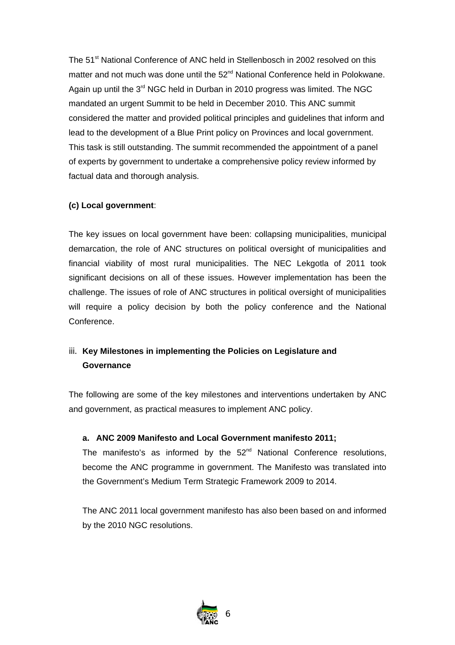The 51<sup>st</sup> National Conference of ANC held in Stellenbosch in 2002 resolved on this matter and not much was done until the 52<sup>nd</sup> National Conference held in Polokwane. Again up until the  $3<sup>rd</sup>$  NGC held in Durban in 2010 progress was limited. The NGC mandated an urgent Summit to be held in December 2010. This ANC summit considered the matter and provided political principles and guidelines that inform and lead to the development of a Blue Print policy on Provinces and local government. This task is still outstanding. The summit recommended the appointment of a panel of experts by government to undertake a comprehensive policy review informed by factual data and thorough analysis.

# **(c) Local government**:

The key issues on local government have been: collapsing municipalities, municipal demarcation, the role of ANC structures on political oversight of municipalities and financial viability of most rural municipalities. The NEC Lekgotla of 2011 took significant decisions on all of these issues. However implementation has been the challenge. The issues of role of ANC structures in political oversight of municipalities will require a policy decision by both the policy conference and the National Conference.

# iii. **Key Milestones in implementing the Policies on Legislature and Governance**

The following are some of the key milestones and interventions undertaken by ANC and government, as practical measures to implement ANC policy.

# **a. ANC 2009 Manifesto and Local Government manifesto 2011;**

The manifesto's as informed by the  $52<sup>nd</sup>$  National Conference resolutions, become the ANC programme in government. The Manifesto was translated into the Government's Medium Term Strategic Framework 2009 to 2014.

The ANC 2011 local government manifesto has also been based on and informed by the 2010 NGC resolutions.

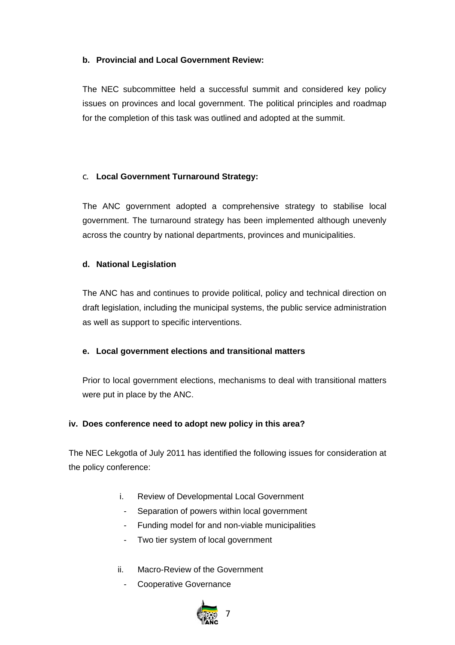# **b. Provincial and Local Government Review:**

The NEC subcommittee held a successful summit and considered key policy issues on provinces and local government. The political principles and roadmap for the completion of this task was outlined and adopted at the summit.

# c. **Local Government Turnaround Strategy:**

The ANC government adopted a comprehensive strategy to stabilise local government. The turnaround strategy has been implemented although unevenly across the country by national departments, provinces and municipalities.

# **d. National Legislation**

The ANC has and continues to provide political, policy and technical direction on draft legislation, including the municipal systems, the public service administration as well as support to specific interventions.

# **e. Local government elections and transitional matters**

Prior to local government elections, mechanisms to deal with transitional matters were put in place by the ANC.

# **iv. Does conference need to adopt new policy in this area?**

The NEC Lekgotla of July 2011 has identified the following issues for consideration at the policy conference:

- i. Review of Developmental Local Government
- Separation of powers within local government
- Funding model for and non-viable municipalities
- Two tier system of local government
- ii. Macro-Review of the Government
	- Cooperative Governance

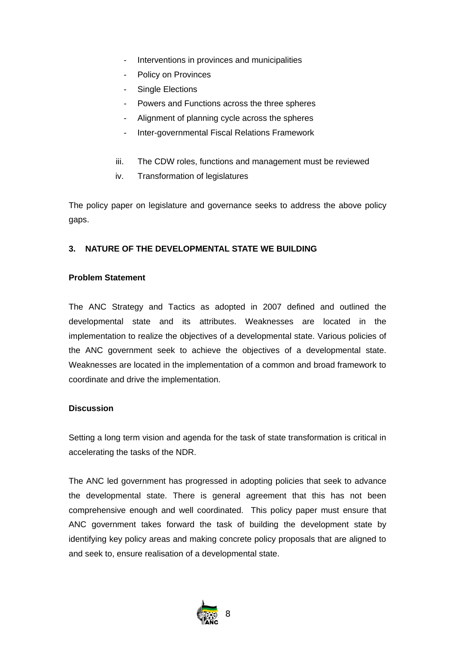- Interventions in provinces and municipalities
- Policy on Provinces
- Single Elections
- Powers and Functions across the three spheres
- Alignment of planning cycle across the spheres
- Inter-governmental Fiscal Relations Framework
- iii. The CDW roles, functions and management must be reviewed
- iv. Transformation of legislatures

The policy paper on legislature and governance seeks to address the above policy gaps.

# **3. NATURE OF THE DEVELOPMENTAL STATE WE BUILDING**

# **Problem Statement**

The ANC Strategy and Tactics as adopted in 2007 defined and outlined the developmental state and its attributes. Weaknesses are located in the implementation to realize the objectives of a developmental state. Various policies of the ANC government seek to achieve the objectives of a developmental state. Weaknesses are located in the implementation of a common and broad framework to coordinate and drive the implementation.

# **Discussion**

Setting a long term vision and agenda for the task of state transformation is critical in accelerating the tasks of the NDR.

The ANC led government has progressed in adopting policies that seek to advance the developmental state. There is general agreement that this has not been comprehensive enough and well coordinated. This policy paper must ensure that ANC government takes forward the task of building the development state by identifying key policy areas and making concrete policy proposals that are aligned to and seek to, ensure realisation of a developmental state.

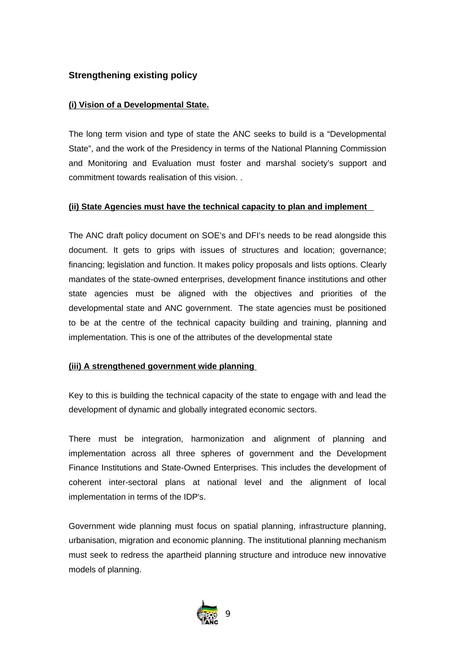# **Strengthening existing policy**

# **(i) Vision of a Developmental State .**

The long term vision and type of state the ANC seeks to build is a "Developmental State", and the work of the Presidency in terms of the National Planning Commission and Monitoring and Evaluation must foster and marshal society's support and commitment towards realisation of this vision. .

# **(ii) State Agencies must have the technical capacity to plan and implement**

The ANC draft policy document on SOE's and DFI's needs to be read alongside this document. It gets to grips with issues of structures and location; governance; financing; legislation and function. It makes policy proposals and lists options. Clearly mandates of the state-owned enterprises, development finance institutions and other state agencies must be aligned with the objectives and priorities of the developmental state and ANC government. The state agencies must be positioned to be at the centre of the technical capacity building and training, planning and implementation. This is one of the attributes of the developmental state

# **(iii) A strengthened government wide planning**

Key to this is building the technical capacity of the state to engage with and lead the development of dynamic and globally integrated economic sectors.

There must be integration, harmonization and alignment of planning and implementation across all three spheres of government and the Development Finance Institutions and State-Owned Enterprises. This includes the development of coherent inter-sectoral plans at national level and the alignment of local implementation in terms of the IDP's.

Government wide planning must focus on spatial planning, infrastructure planning, urbanisation, migration and economic planning. The institutional planning mechanism must seek to redress the apartheid planning structure and introduce new innovative models of planning.

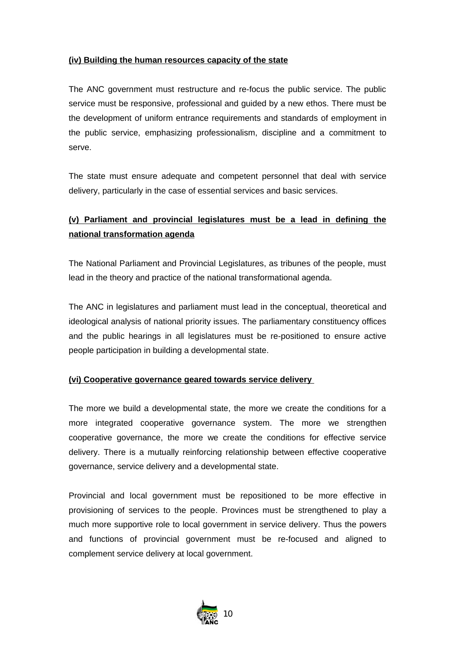# **(iv) Building the human resources capacity of the state**

The ANC government must restructure and re-focus the public service. The public service must be responsive, professional and guided by a new ethos. There must be the development of uniform entrance requirements and standards of employment in the public service, emphasizing professionalism, discipline and a commitment to serve.

The state must ensure adequate and competent personnel that deal with service delivery, particularly in the case of essential services and basic services.

# **(v) Parliament and provincial legislatures must be a lead in defining the national transformation agenda**

The National Parliament and Provincial Legislatures, as tribunes of the people, must lead in the theory and practice of the national transformational agenda.

The ANC in legislatures and parliament must lead in the conceptual, theoretical and ideological analysis of national priority issues. The parliamentary constituency offices and the public hearings in all legislatures must be re-positioned to ensure active people participation in building a developmental state.

# **(vi) Cooperative governance geared towards service delivery**

The more we build a developmental state, the more we create the conditions for a more integrated cooperative governance system. The more we strengthen cooperative governance, the more we create the conditions for effective service delivery. There is a mutually reinforcing relationship between effective cooperative governance, service delivery and a developmental state.

Provincial and local government must be repositioned to be more effective in provisioning of services to the people. Provinces must be strengthened to play a much more supportive role to local government in service delivery. Thus the powers and functions of provincial government must be re-focused and aligned to complement service delivery at local government.

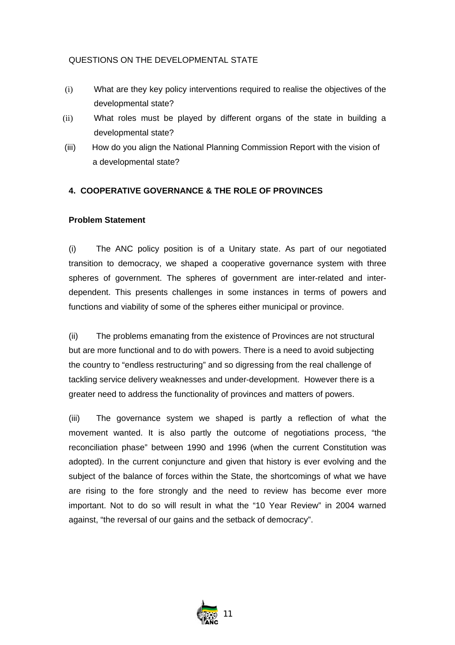# QUESTIONS ON THE DEVELOPMENTAL STATE

- (i) What are they key policy interventions required to realise the objectives of the developmental state?
- (ii) What roles must be played by different organs of the state in building a developmental state?
- (iii) How do you align the National Planning Commission Report with the vision of a developmental state?

# **4. COOPERATIVE GOVERNANCE & THE ROLE OF PROVINCES**

# **Problem Statement**

(i) The ANC policy position is of a Unitary state. As part of our negotiated transition to democracy, we shaped a cooperative governance system with three spheres of government. The spheres of government are inter-related and interdependent. This presents challenges in some instances in terms of powers and functions and viability of some of the spheres either municipal or province.

(ii) The problems emanating from the existence of Provinces are not structural but are more functional and to do with powers. There is a need to avoid subjecting the country to "endless restructuring" and so digressing from the real challenge of tackling service delivery weaknesses and under-development. However there is a greater need to address the functionality of provinces and matters of powers.

(iii) The governance system we shaped is partly a reflection of what the movement wanted. It is also partly the outcome of negotiations process, "the reconciliation phase" between 1990 and 1996 (when the current Constitution was adopted). In the current conjuncture and given that history is ever evolving and the subject of the balance of forces within the State, the shortcomings of what we have are rising to the fore strongly and the need to review has become ever more important. Not to do so will result in what the "10 Year Review" in 2004 warned against, "the reversal of our gains and the setback of democracy".

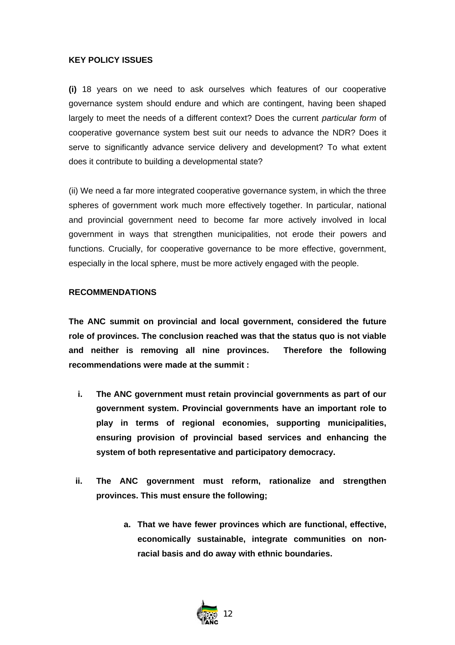# **KEY POLICY ISSUES**

**(i)** 18 years on we need to ask ourselves which features of our cooperative governance system should endure and which are contingent, having been shaped largely to meet the needs of a different context? Does the current *particular form* of cooperative governance system best suit our needs to advance the NDR? Does it serve to significantly advance service delivery and development? To what extent does it contribute to building a developmental state?

(ii) We need a far more integrated cooperative governance system, in which the three spheres of government work much more effectively together. In particular, national and provincial government need to become far more actively involved in local government in ways that strengthen municipalities, not erode their powers and functions. Crucially, for cooperative governance to be more effective, government, especially in the local sphere, must be more actively engaged with the people.

#### **RECOMMENDATIONS**

**The ANC summit on provincial and local government, considered the future role of provinces. The conclusion reached was that the status quo is not viable and neither is removing all nine provinces. Therefore the following recommendations were made at the summit :**

- **i. The ANC government must retain provincial governments as part of our government system. Provincial governments have an important role to play in terms of regional economies, supporting municipalities, ensuring provision of provincial based services and enhancing the system of both representative and participatory democracy.**
- **ii. The ANC government must reform, rationalize and strengthen provinces. This must ensure the following;**
	- **a. That we have fewer provinces which are functional, effective, economically sustainable, integrate communities on nonracial basis and do away with ethnic boundaries.**

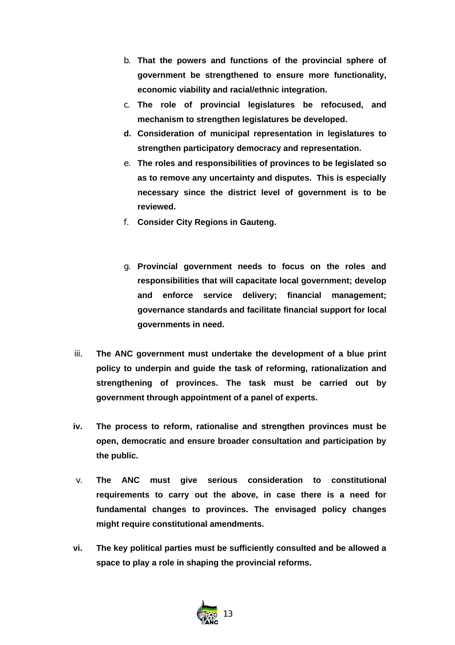- b. **That the powers and functions of the provincial sphere of government be strengthened to ensure more functionality, economic viability and racial/ethnic integration.**
- c. **The role of provincial legislatures be refocused, and mechanism to strengthen legislatures be developed.**
- **d. Consideration of municipal representation in legislatures to strengthen participatory democracy and representation.**
- e. **The roles and responsibilities of provinces to be legislated so as to remove any uncertainty and disputes. This is especially necessary since the district level of government is to be reviewed.**
- f. **Consider City Regions in Gauteng.**
- g. **Provincial government needs to focus on the roles and responsibilities that will capacitate local government; develop and enforce service delivery; financial management; governance standards and facilitate financial support for local governments in need.**
- iii. **The ANC government must undertake the development of a blue print policy to underpin and guide the task of reforming, rationalization and strengthening of provinces. The task must be carried out by government through appointment of a panel of experts.**
- **iv. The process to reform, rationalise and strengthen provinces must be open, democratic and ensure broader consultation and participation by the public.**
- v. **The ANC must give serious consideration to constitutional requirements to carry out the above, in case there is a need for fundamental changes to provinces. The envisaged policy changes might require constitutional amendments.**
- **vi. The key political parties must be sufficiently consulted and be allowed a space to play a role in shaping the provincial reforms.**

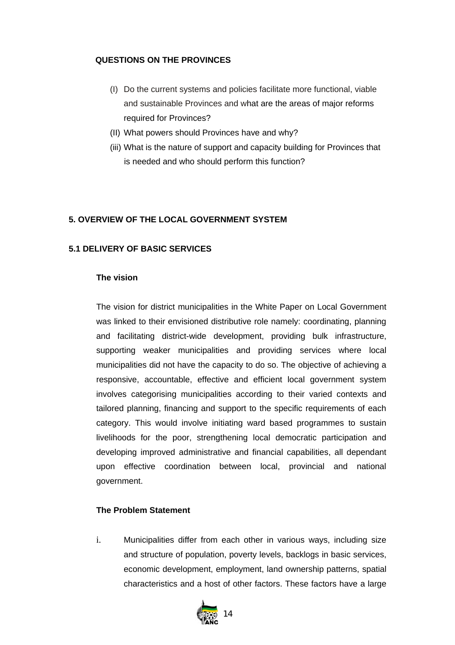# **QUESTIONS ON THE PROVINCES**

- (I) Do the current systems and policies facilitate more functional, viable and sustainable Provinces and what are the areas of major reforms required for Provinces?
- (II) What powers should Provinces have and why?
- (iii) What is the nature of support and capacity building for Provinces that is needed and who should perform this function?

# **5. OVERVIEW OF THE LOCAL GOVERNMENT SYSTEM**

# **5.1 DELIVERY OF BASIC SERVICES**

# **The vision**

The vision for district municipalities in the White Paper on Local Government was linked to their envisioned distributive role namely: coordinating, planning and facilitating district-wide development, providing bulk infrastructure, supporting weaker municipalities and providing services where local municipalities did not have the capacity to do so. The objective of achieving a responsive, accountable, effective and efficient local government system involves categorising municipalities according to their varied contexts and tailored planning, financing and support to the specific requirements of each category. This would involve initiating ward based programmes to sustain livelihoods for the poor, strengthening local democratic participation and developing improved administrative and financial capabilities, all dependant upon effective coordination between local, provincial and national government.

# **The Problem Statement**

i. Municipalities differ from each other in various ways, including size and structure of population, poverty levels, backlogs in basic services, economic development, employment, land ownership patterns, spatial characteristics and a host of other factors. These factors have a large

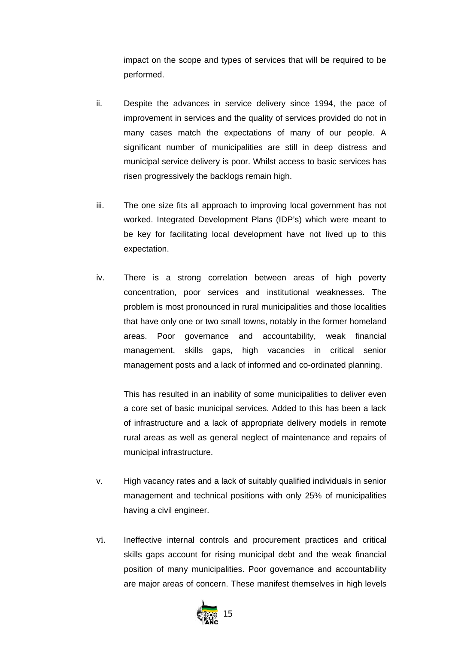impact on the scope and types of services that will be required to be performed.

- ii. Despite the advances in service delivery since 1994, the pace of improvement in services and the quality of services provided do not in many cases match the expectations of many of our people. A significant number of municipalities are still in deep distress and municipal service delivery is poor. Whilst access to basic services has risen progressively the backlogs remain high.
- iii. The one size fits all approach to improving local government has not worked. Integrated Development Plans (IDP's) which were meant to be key for facilitating local development have not lived up to this expectation.
- iv. There is a strong correlation between areas of high poverty concentration, poor services and institutional weaknesses. The problem is most pronounced in rural municipalities and those localities that have only one or two small towns, notably in the former homeland areas. Poor governance and accountability, weak financial management, skills gaps, high vacancies in critical senior management posts and a lack of informed and co-ordinated planning.

This has resulted in an inability of some municipalities to deliver even a core set of basic municipal services. Added to this has been a lack of infrastructure and a lack of appropriate delivery models in remote rural areas as well as general neglect of maintenance and repairs of municipal infrastructure.

- v. High vacancy rates and a lack of suitably qualified individuals in senior management and technical positions with only 25% of municipalities having a civil engineer.
- vi. Ineffective internal controls and procurement practices and critical skills gaps account for rising municipal debt and the weak financial position of many municipalities. Poor governance and accountability are major areas of concern. These manifest themselves in high levels

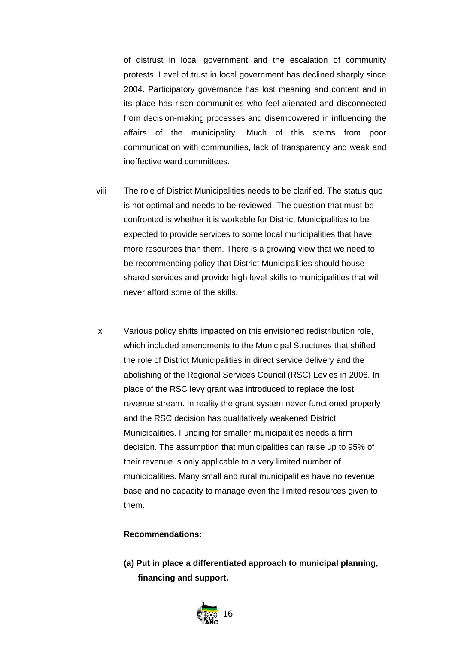of distrust in local government and the escalation of community protests. Level of trust in local government has declined sharply since 2004. Participatory governance has lost meaning and content and in its place has risen communities who feel alienated and disconnected from decision-making processes and disempowered in influencing the affairs of the municipality. Much of this stems from poor communication with communities, lack of transparency and weak and ineffective ward committees.

- viii The role of District Municipalities needs to be clarified. The status quo is not optimal and needs to be reviewed. The question that must be confronted is whether it is workable for District Municipalities to be expected to provide services to some local municipalities that have more resources than them. There is a growing view that we need to be recommending policy that District Municipalities should house shared services and provide high level skills to municipalities that will never afford some of the skills.
- ix Various policy shifts impacted on this envisioned redistribution role, which included amendments to the Municipal Structures that shifted the role of District Municipalities in direct service delivery and the abolishing of the Regional Services Council (RSC) Levies in 2006. In place of the RSC levy grant was introduced to replace the lost revenue stream. In reality the grant system never functioned properly and the RSC decision has qualitatively weakened District Municipalities. Funding for smaller municipalities needs a firm decision. The assumption that municipalities can raise up to 95% of their revenue is only applicable to a very limited number of municipalities. Many small and rural municipalities have no revenue base and no capacity to manage even the limited resources given to them.

# **Recommendations:**

**(a) Put in place a differentiated approach to municipal planning, financing and support.** 

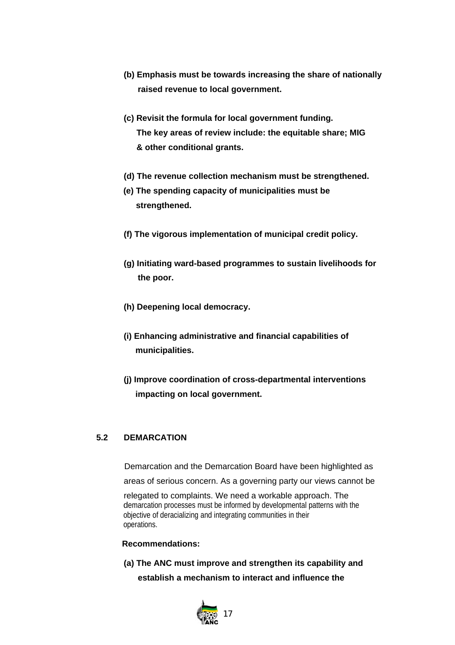- **(b) Emphasis must be towards increasing the share of nationally raised revenue to local government.**
- **(c) Revisit the formula for local government funding. The key areas of review include: the equitable share; MIG & other conditional grants.**
- **(d) The revenue collection mechanism must be strengthened.**
- **(e) The spending capacity of municipalities must be strengthened.**
- **(f) The vigorous implementation of municipal credit policy.**
- **(g) Initiating ward-based programmes to sustain livelihoods for the poor.**
- **(h) Deepening local democracy.**
- **(i) Enhancing administrative and financial capabilities of municipalities.**
- **(j) Improve coordination of cross-departmental interventions impacting on local government.**

# **5.2 DEMARCATION**

Demarcation and the Demarcation Board have been highlighted as

areas of serious concern. As a governing party our views cannot be

 relegated to complaints. We need a workable approach. The demarcation processes must be informed by developmental patterns with the objective of deracializing and integrating communities in their operations.

# **Recommendations:**

**(a) The ANC must improve and strengthen its capability and establish a mechanism to interact and influence the**

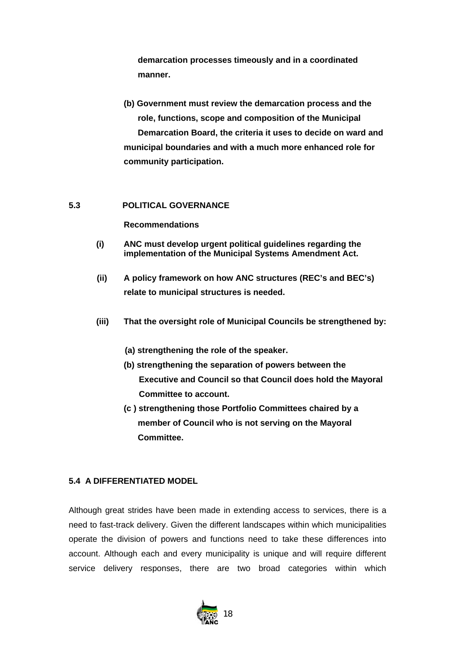**demarcation processes timeously and in a coordinated manner.**

**(b) Government must review the demarcation process and the role, functions, scope and composition of the Municipal Demarcation Board, the criteria it uses to decide on ward and municipal boundaries and with a much more enhanced role for community participation.** 

# **5.3 POLITICAL GOVERNANCE**

# **Recommendations**

- **(i) ANC must develop urgent political guidelines regarding the implementation of the Municipal Systems Amendment Act.**
- **(ii) A policy framework on how ANC structures (REC's and BEC's) relate to municipal structures is needed.**
- **(iii) That the oversight role of Municipal Councils be strengthened by:**
	- **(a) strengthening the role of the speaker.**
	- **(b) strengthening the separation of powers between the Executive and Council so that Council does hold the Mayoral Committee to account.**
	- **(c ) strengthening those Portfolio Committees chaired by a member of Council who is not serving on the Mayoral Committee.**

# **5.4 A DIFFERENTIATED MODEL**

Although great strides have been made in extending access to services, there is a need to fast-track delivery. Given the different landscapes within which municipalities operate the division of powers and functions need to take these differences into account. Although each and every municipality is unique and will require different service delivery responses, there are two broad categories within which

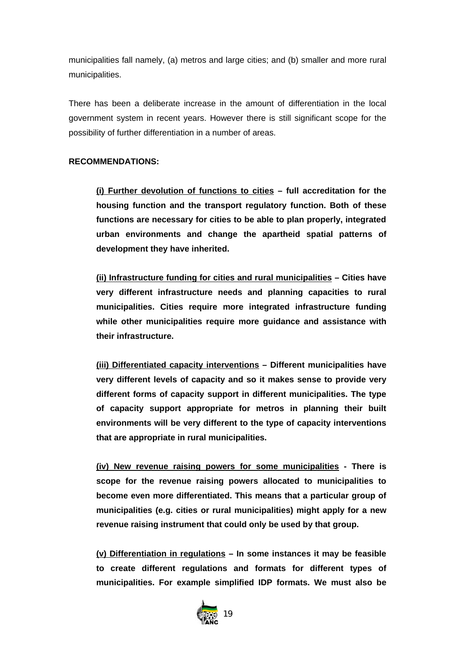municipalities fall namely, (a) metros and large cities; and (b) smaller and more rural municipalities.

There has been a deliberate increase in the amount of differentiation in the local government system in recent years. However there is still significant scope for the possibility of further differentiation in a number of areas.

# **RECOMMENDATIONS:**

**(i) Further devolution of functions to cities – full accreditation for the housing function and the transport regulatory function. Both of these functions are necessary for cities to be able to plan properly, integrated urban environments and change the apartheid spatial patterns of development they have inherited.** 

**(ii) Infrastructure funding for cities and rural municipalities – Cities have very different infrastructure needs and planning capacities to rural municipalities. Cities require more integrated infrastructure funding while other municipalities require more guidance and assistance with their infrastructure.** 

**(iii) Differentiated capacity interventions – Different municipalities have very different levels of capacity and so it makes sense to provide very different forms of capacity support in different municipalities. The type of capacity support appropriate for metros in planning their built environments will be very different to the type of capacity interventions that are appropriate in rural municipalities.** 

**(iv) New revenue raising powers for some municipalities - There is scope for the revenue raising powers allocated to municipalities to become even more differentiated. This means that a particular group of municipalities (e.g. cities or rural municipalities) might apply for a new revenue raising instrument that could only be used by that group.** 

**(v) Differentiation in regulations – In some instances it may be feasible to create different regulations and formats for different types of municipalities. For example simplified IDP formats. We must also be**

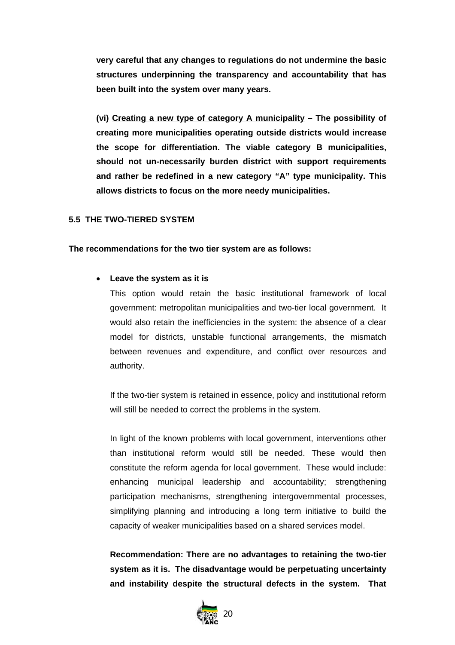**very careful that any changes to regulations do not undermine the basic structures underpinning the transparency and accountability that has been built into the system over many years.**

**(vi) Creating a new type of category A municipality – The possibility of creating more municipalities operating outside districts would increase the scope for differentiation. The viable category B municipalities, should not un-necessarily burden district with support requirements and rather be redefined in a new category "A" type municipality. This allows districts to focus on the more needy municipalities.** 

#### **5.5 THE TWO-TIERED SYSTEM**

#### **The recommendations for the two tier system are as follows:**

# • **Leave the system as it is**

This option would retain the basic institutional framework of local government: metropolitan municipalities and two-tier local government. It would also retain the inefficiencies in the system: the absence of a clear model for districts, unstable functional arrangements, the mismatch between revenues and expenditure, and conflict over resources and authority.

If the two-tier system is retained in essence, policy and institutional reform will still be needed to correct the problems in the system.

In light of the known problems with local government, interventions other than institutional reform would still be needed. These would then constitute the reform agenda for local government. These would include: enhancing municipal leadership and accountability; strengthening participation mechanisms, strengthening intergovernmental processes, simplifying planning and introducing a long term initiative to build the capacity of weaker municipalities based on a shared services model.

**Recommendation: There are no advantages to retaining the two-tier system as it is. The disadvantage would be perpetuating uncertainty and instability despite the structural defects in the system. That**

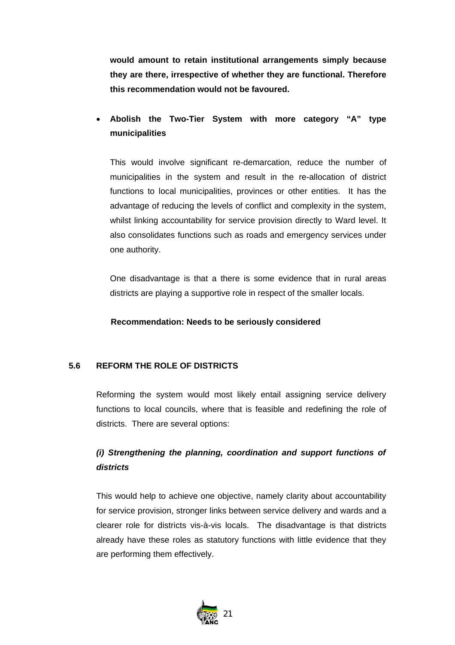**would amount to retain institutional arrangements simply because they are there, irrespective of whether they are functional. Therefore this recommendation would not be favoured.** 

# • **Abolish the Two-Tier System with more category "A" type municipalities**

This would involve significant re-demarcation, reduce the number of municipalities in the system and result in the re-allocation of district functions to local municipalities, provinces or other entities. It has the advantage of reducing the levels of conflict and complexity in the system, whilst linking accountability for service provision directly to Ward level. It also consolidates functions such as roads and emergency services under one authority.

One disadvantage is that a there is some evidence that in rural areas districts are playing a supportive role in respect of the smaller locals.

# **Recommendation: Needs to be seriously considered**

# **5.6 REFORM THE ROLE OF DISTRICTS**

Reforming the system would most likely entail assigning service delivery functions to local councils, where that is feasible and redefining the role of districts. There are several options:

# *(i) Strengthening the planning, coordination and support functions of districts*

This would help to achieve one objective, namely clarity about accountability for service provision, stronger links between service delivery and wards and a clearer role for districts vis-à-vis locals. The disadvantage is that districts already have these roles as statutory functions with little evidence that they are performing them effectively.

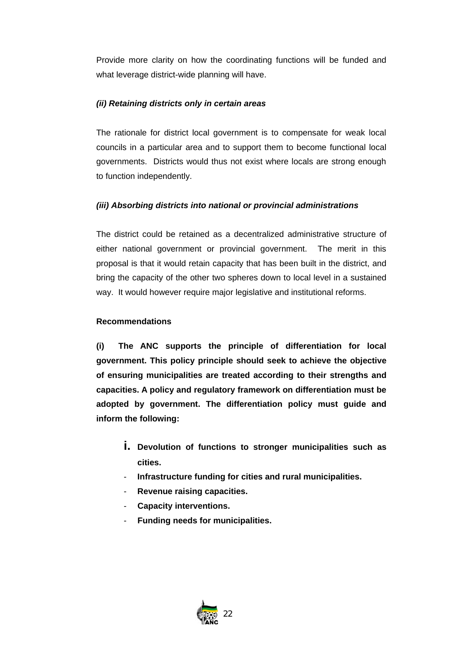Provide more clarity on how the coordinating functions will be funded and what leverage district-wide planning will have.

# *(ii) Retaining districts only in certain areas*

The rationale for district local government is to compensate for weak local councils in a particular area and to support them to become functional local governments. Districts would thus not exist where locals are strong enough to function independently.

# *(iii) Absorbing districts into national or provincial administrations*

The district could be retained as a decentralized administrative structure of either national government or provincial government. The merit in this proposal is that it would retain capacity that has been built in the district, and bring the capacity of the other two spheres down to local level in a sustained way. It would however require major legislative and institutional reforms.

# **Recommendations**

**(i) The ANC supports the principle of differentiation for local government. This policy principle should seek to achieve the objective of ensuring municipalities are treated according to their strengths and capacities. A policy and regulatory framework on differentiation must be adopted by government. The differentiation policy must guide and inform the following:**

- **i. Devolution of functions to stronger municipalities such as cities.**
- **Infrastructure funding for cities and rural municipalities.**
- **Revenue raising capacities.**
- **Capacity interventions.**
- **Funding needs for municipalities.**

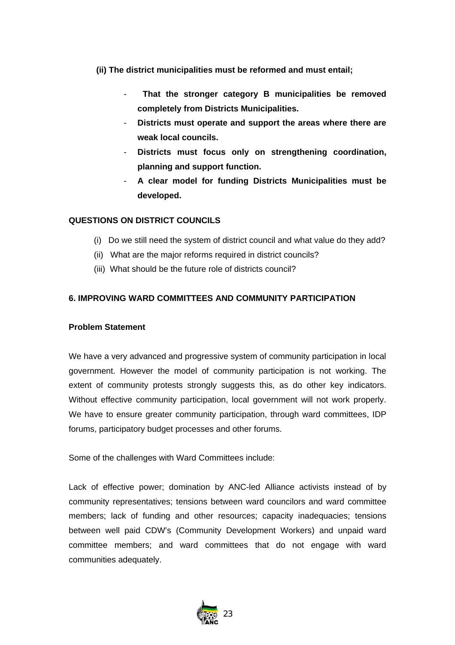- **(ii) The district municipalities must be reformed and must entail;**
	- - **That the stronger category B municipalities be removed completely from Districts Municipalities.**
	- **Districts must operate and support the areas where there are weak local councils.**
	- **Districts must focus only on strengthening coordination, planning and support function.**
	- **A clear model for funding Districts Municipalities must be developed.**

# **QUESTIONS ON DISTRICT COUNCILS**

- (i) Do we still need the system of district council and what value do they add?
- (ii) What are the major reforms required in district councils?
- (iii) What should be the future role of districts council?

# **6. IMPROVING WARD COMMITTEES AND COMMUNITY PARTICIPATION**

# **Problem Statement**

We have a very advanced and progressive system of community participation in local government. However the model of community participation is not working. The extent of community protests strongly suggests this, as do other key indicators. Without effective community participation, local government will not work properly. We have to ensure greater community participation, through ward committees, IDP forums, participatory budget processes and other forums.

Some of the challenges with Ward Committees include:

Lack of effective power; domination by ANC-led Alliance activists instead of by community representatives; tensions between ward councilors and ward committee members; lack of funding and other resources; capacity inadequacies; tensions between well paid CDW's (Community Development Workers) and unpaid ward committee members; and ward committees that do not engage with ward communities adequately.

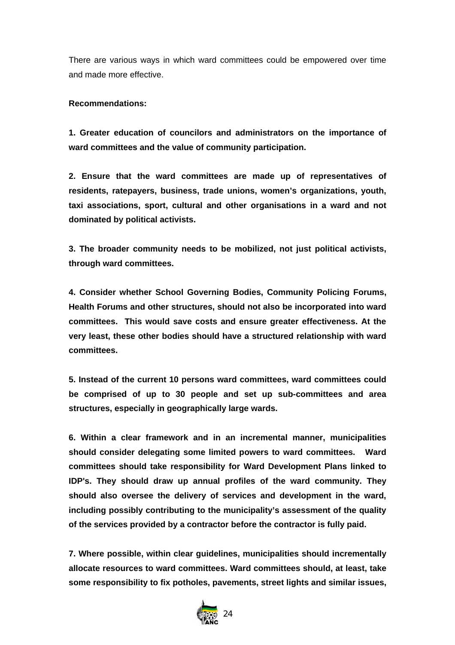There are various ways in which ward committees could be empowered over time and made more effective.

# **Recommendations:**

**1. Greater education of councilors and administrators on the importance of ward committees and the value of community participation.**

**2. Ensure that the ward committees are made up of representatives of residents, ratepayers, business, trade unions, women's organizations, youth, taxi associations, sport, cultural and other organisations in a ward and not dominated by political activists.**

**3. The broader community needs to be mobilized, not just political activists, through ward committees.**

**4. Consider whether School Governing Bodies, Community Policing Forums, Health Forums and other structures, should not also be incorporated into ward committees. This would save costs and ensure greater effectiveness. At the very least, these other bodies should have a structured relationship with ward committees.**

**5. Instead of the current 10 persons ward committees, ward committees could be comprised of up to 30 people and set up sub-committees and area structures, especially in geographically large wards.**

**6. Within a clear framework and in an incremental manner, municipalities should consider delegating some limited powers to ward committees. Ward committees should take responsibility for Ward Development Plans linked to IDP's. They should draw up annual profiles of the ward community. They should also oversee the delivery of services and development in the ward, including possibly contributing to the municipality's assessment of the quality of the services provided by a contractor before the contractor is fully paid.** 

**7. Where possible, within clear guidelines, municipalities should incrementally allocate resources to ward committees. Ward committees should, at least, take some responsibility to fix potholes, pavements, street lights and similar issues,**

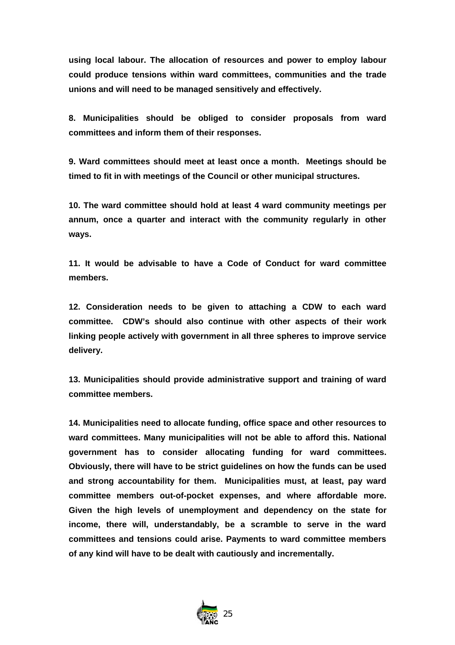**using local labour. The allocation of resources and power to employ labour could produce tensions within ward committees, communities and the trade unions and will need to be managed sensitively and effectively.** 

**8. Municipalities should be obliged to consider proposals from ward committees and inform them of their responses.** 

**9. Ward committees should meet at least once a month. Meetings should be timed to fit in with meetings of the Council or other municipal structures.**

**10. The ward committee should hold at least 4 ward community meetings per annum, once a quarter and interact with the community regularly in other ways.**

**11. It would be advisable to have a Code of Conduct for ward committee members.**

**12. Consideration needs to be given to attaching a CDW to each ward committee. CDW's should also continue with other aspects of their work linking people actively with government in all three spheres to improve service delivery.**

**13. Municipalities should provide administrative support and training of ward committee members.** 

**14. Municipalities need to allocate funding, office space and other resources to ward committees. Many municipalities will not be able to afford this. National government has to consider allocating funding for ward committees. Obviously, there will have to be strict guidelines on how the funds can be used and strong accountability for them. Municipalities must, at least, pay ward committee members out-of-pocket expenses, and where affordable more. Given the high levels of unemployment and dependency on the state for income, there will, understandably, be a scramble to serve in the ward committees and tensions could arise. Payments to ward committee members of any kind will have to be dealt with cautiously and incrementally.** 

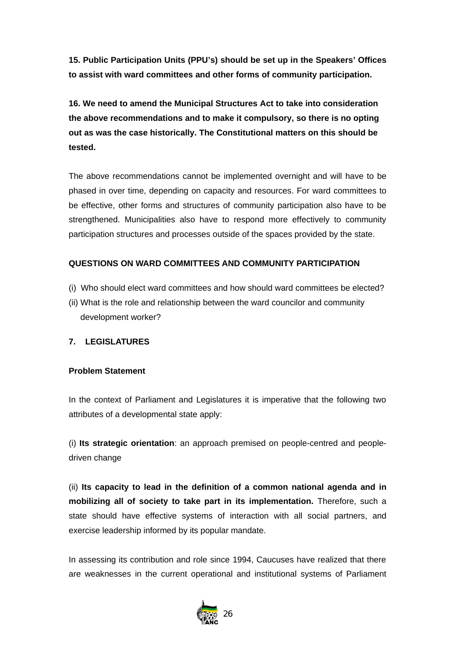**15. Public Participation Units (PPU's) should be set up in the Speakers' Offices to assist with ward committees and other forms of community participation.**

**16. We need to amend the Municipal Structures Act to take into consideration the above recommendations and to make it compulsory, so there is no opting out as was the case historically. The Constitutional matters on this should be tested.**

The above recommendations cannot be implemented overnight and will have to be phased in over time, depending on capacity and resources. For ward committees to be effective, other forms and structures of community participation also have to be strengthened. Municipalities also have to respond more effectively to community participation structures and processes outside of the spaces provided by the state.

# **QUESTIONS ON WARD COMMITTEES AND COMMUNITY PARTICIPATION**

- (i) Who should elect ward committees and how should ward committees be elected?
- (ii) What is the role and relationship between the ward councilor and community development worker?

# **7. LEGISLATURES**

# **Problem Statement**

In the context of Parliament and Legislatures it is imperative that the following two attributes of a developmental state apply:

(i) **Its strategic orientation**: an approach premised on people-centred and peopledriven change

(ii) **Its capacity to lead in the definition of a common national agenda and in mobilizing all of society to take part in its implementation.** Therefore, such a state should have effective systems of interaction with all social partners, and exercise leadership informed by its popular mandate.

In assessing its contribution and role since 1994, Caucuses have realized that there are weaknesses in the current operational and institutional systems of Parliament

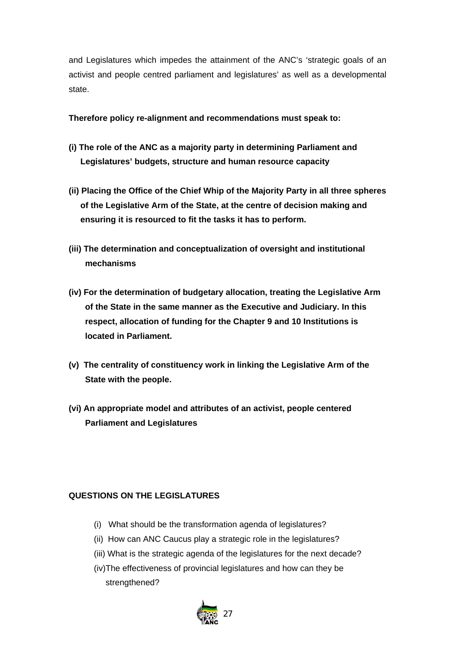and Legislatures which impedes the attainment of the ANC's 'strategic goals of an activist and people centred parliament and legislatures' as well as a developmental state.

**Therefore policy re-alignment and recommendations must speak to:** 

- **(i) The role of the ANC as a majority party in determining Parliament and Legislatures' budgets, structure and human resource capacity**
- **(ii) Placing the Office of the Chief Whip of the Majority Party in all three spheres of the Legislative Arm of the State, at the centre of decision making and ensuring it is resourced to fit the tasks it has to perform.**
- **(iii) The determination and conceptualization of oversight and institutional mechanisms**
- **(iv) For the determination of budgetary allocation, treating the Legislative Arm of the State in the same manner as the Executive and Judiciary. In this respect, allocation of funding for the Chapter 9 and 10 Institutions is located in Parliament.**
- **(v) The centrality of constituency work in linking the Legislative Arm of the State with the people.**
- **(vi) An appropriate model and attributes of an activist, people centered Parliament and Legislatures**

# **QUESTIONS ON THE LEGISLATURES**

- (i) What should be the transformation agenda of legislatures?
- (ii) How can ANC Caucus play a strategic role in the legislatures?
- (iii) What is the strategic agenda of the legislatures for the next decade?
- (iv)The effectiveness of provincial legislatures and how can they be strengthened?

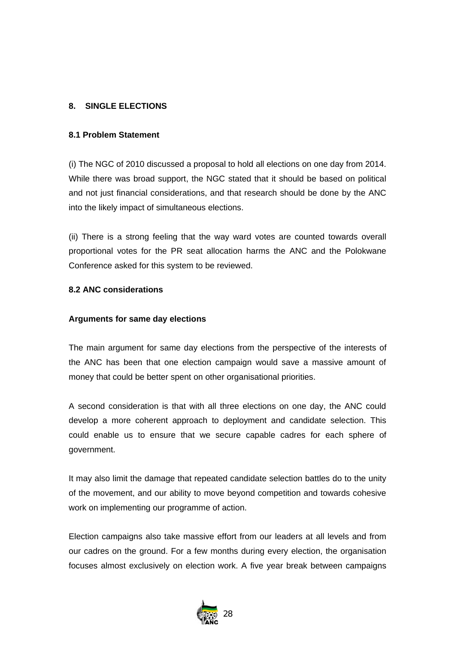# **8. SINGLE ELECTIONS**

#### **8.1 Problem Statement**

(i) The NGC of 2010 discussed a proposal to hold all elections on one day from 2014. While there was broad support, the NGC stated that it should be based on political and not just financial considerations, and that research should be done by the ANC into the likely impact of simultaneous elections.

(ii) There is a strong feeling that the way ward votes are counted towards overall proportional votes for the PR seat allocation harms the ANC and the Polokwane Conference asked for this system to be reviewed.

# **8.2 ANC considerations**

#### **Arguments for same day elections**

The main argument for same day elections from the perspective of the interests of the ANC has been that one election campaign would save a massive amount of money that could be better spent on other organisational priorities.

A second consideration is that with all three elections on one day, the ANC could develop a more coherent approach to deployment and candidate selection. This could enable us to ensure that we secure capable cadres for each sphere of government.

It may also limit the damage that repeated candidate selection battles do to the unity of the movement, and our ability to move beyond competition and towards cohesive work on implementing our programme of action.

Election campaigns also take massive effort from our leaders at all levels and from our cadres on the ground. For a few months during every election, the organisation focuses almost exclusively on election work. A five year break between campaigns

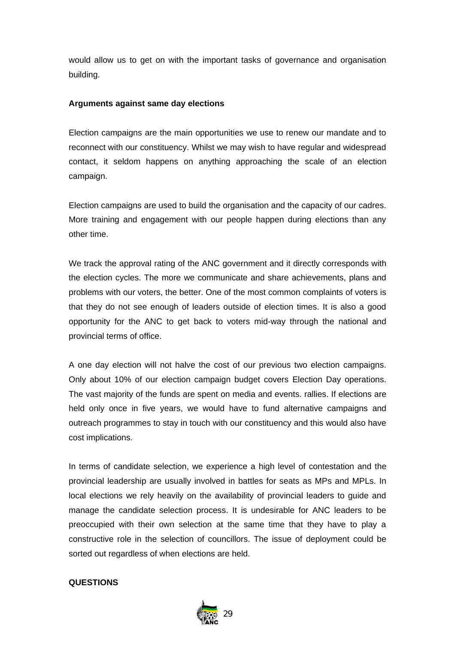would allow us to get on with the important tasks of governance and organisation building.

# **Arguments against same day elections**

Election campaigns are the main opportunities we use to renew our mandate and to reconnect with our constituency. Whilst we may wish to have regular and widespread contact, it seldom happens on anything approaching the scale of an election campaign.

Election campaigns are used to build the organisation and the capacity of our cadres. More training and engagement with our people happen during elections than any other time.

We track the approval rating of the ANC government and it directly corresponds with the election cycles. The more we communicate and share achievements, plans and problems with our voters, the better. One of the most common complaints of voters is that they do not see enough of leaders outside of election times. It is also a good opportunity for the ANC to get back to voters mid-way through the national and provincial terms of office.

A one day election will not halve the cost of our previous two election campaigns. Only about 10% of our election campaign budget covers Election Day operations. The vast majority of the funds are spent on media and events. rallies. If elections are held only once in five years, we would have to fund alternative campaigns and outreach programmes to stay in touch with our constituency and this would also have cost implications.

In terms of candidate selection, we experience a high level of contestation and the provincial leadership are usually involved in battles for seats as MPs and MPLs. In local elections we rely heavily on the availability of provincial leaders to guide and manage the candidate selection process. It is undesirable for ANC leaders to be preoccupied with their own selection at the same time that they have to play a constructive role in the selection of councillors. The issue of deployment could be sorted out regardless of when elections are held.

# **QUESTIONS**

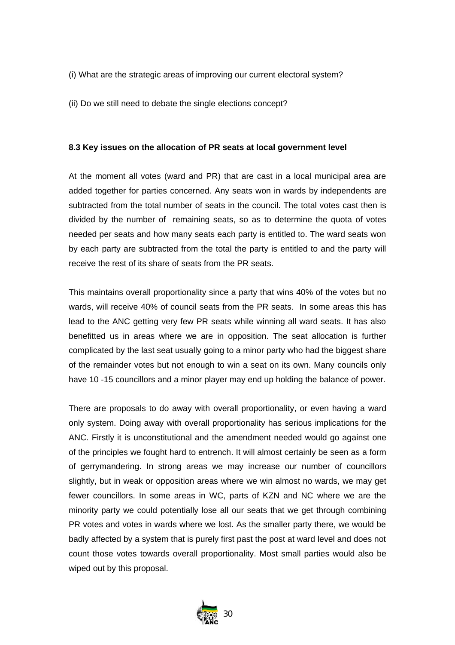- (i) What are the strategic areas of improving our current electoral system?
- (ii) Do we still need to debate the single elections concept?

#### **8.3 Key issues on the allocation of PR seats at local government level**

At the moment all votes (ward and PR) that are cast in a local municipal area are added together for parties concerned. Any seats won in wards by independents are subtracted from the total number of seats in the council. The total votes cast then is divided by the number of remaining seats, so as to determine the quota of votes needed per seats and how many seats each party is entitled to. The ward seats won by each party are subtracted from the total the party is entitled to and the party will receive the rest of its share of seats from the PR seats.

This maintains overall proportionality since a party that wins 40% of the votes but no wards, will receive 40% of council seats from the PR seats. In some areas this has lead to the ANC getting very few PR seats while winning all ward seats. It has also benefitted us in areas where we are in opposition. The seat allocation is further complicated by the last seat usually going to a minor party who had the biggest share of the remainder votes but not enough to win a seat on its own. Many councils only have 10 -15 councillors and a minor player may end up holding the balance of power.

There are proposals to do away with overall proportionality, or even having a ward only system. Doing away with overall proportionality has serious implications for the ANC. Firstly it is unconstitutional and the amendment needed would go against one of the principles we fought hard to entrench. It will almost certainly be seen as a form of gerrymandering. In strong areas we may increase our number of councillors slightly, but in weak or opposition areas where we win almost no wards, we may get fewer councillors. In some areas in WC, parts of KZN and NC where we are the minority party we could potentially lose all our seats that we get through combining PR votes and votes in wards where we lost. As the smaller party there, we would be badly affected by a system that is purely first past the post at ward level and does not count those votes towards overall proportionality. Most small parties would also be wiped out by this proposal.